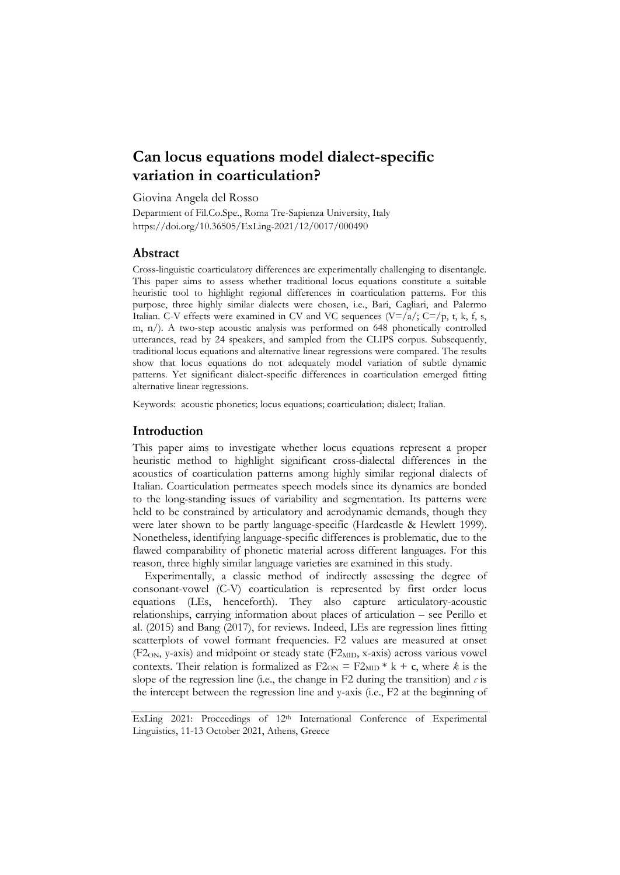# **Can locus equations model dialect-specific variation in coarticulation?**

Giovina Angela del Rosso

Department of Fil.Co.Spe., Roma Tre-Sapienza University, Italy https://doi.org/10.36505/ExLing-2021/12/0017/000490

## **Abstract**

Cross-linguistic coarticulatory differences are experimentally challenging to disentangle. This paper aims to assess whether traditional locus equations constitute a suitable heuristic tool to highlight regional differences in coarticulation patterns. For this purpose, three highly similar dialects were chosen, i.e., Bari, Cagliari, and Palermo Italian. C-V effects were examined in CV and VC sequences  $(V=|a|; C=|p, t, k, f, s,$ m, n/). A two-step acoustic analysis was performed on 648 phonetically controlled utterances, read by 24 speakers, and sampled from the CLIPS corpus. Subsequently, traditional locus equations and alternative linear regressions were compared. The results show that locus equations do not adequately model variation of subtle dynamic patterns. Yet significant dialect-specific differences in coarticulation emerged fitting alternative linear regressions.

Keywords: acoustic phonetics; locus equations; coarticulation; dialect; Italian.

### **Introduction**

This paper aims to investigate whether locus equations represent a proper heuristic method to highlight significant cross-dialectal differences in the acoustics of coarticulation patterns among highly similar regional dialects of Italian. Coarticulation permeates speech models since its dynamics are bonded to the long-standing issues of variability and segmentation. Its patterns were held to be constrained by articulatory and aerodynamic demands, though they were later shown to be partly language-specific (Hardcastle & Hewlett 1999). Nonetheless, identifying language-specific differences is problematic, due to the flawed comparability of phonetic material across different languages. For this reason, three highly similar language varieties are examined in this study.

Experimentally, a classic method of indirectly assessing the degree of consonant-vowel (C-V) coarticulation is represented by first order locus equations (LEs, henceforth). They also capture articulatory-acoustic relationships, carrying information about places of articulation – see Perillo et al. (2015) and Bang (2017), for reviews. Indeed, LEs are regression lines fitting scatterplots of vowel formant frequencies. F2 values are measured at onset  $(F2<sub>ON</sub>, y-axis)$  and midpoint or steady state  $(F2<sub>MD</sub>, x-axis)$  across various vowel contexts. Their relation is formalized as  $F2_{ON} = F2_{MID} * k + c$ , where *k* is the slope of the regression line (i.e., the change in F2 during the transition) and  $c$  is the intercept between the regression line and y-axis (i.e., F2 at the beginning of

ExLing 2021: Proceedings of 12<sup>th</sup> International Conference of Experimental Linguistics, 11-13 October 2021, Athens, Greece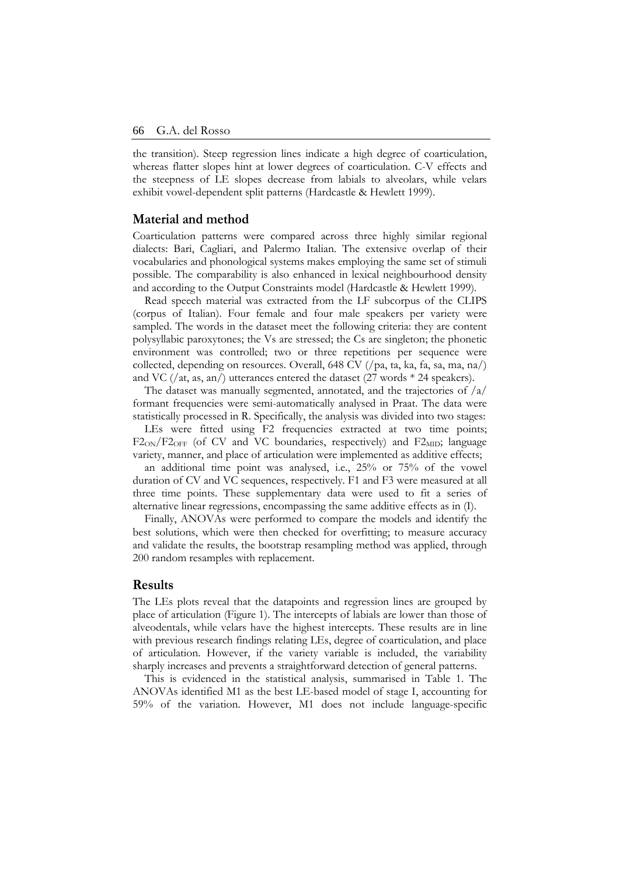the transition). Steep regression lines indicate a high degree of coarticulation, whereas flatter slopes hint at lower degrees of coarticulation. C-V effects and the steepness of LE slopes decrease from labials to alveolars, while velars exhibit vowel-dependent split patterns (Hardcastle & Hewlett 1999).

#### **Material and method**

Coarticulation patterns were compared across three highly similar regional dialects: Bari, Cagliari, and Palermo Italian. The extensive overlap of their vocabularies and phonological systems makes employing the same set of stimuli possible. The comparability is also enhanced in lexical neighbourhood density and according to the Output Constraints model (Hardcastle & Hewlett 1999).

Read speech material was extracted from the LF subcorpus of the CLIPS (corpus of Italian). Four female and four male speakers per variety were sampled. The words in the dataset meet the following criteria: they are content polysyllabic paroxytones; the Vs are stressed; the Cs are singleton; the phonetic environment was controlled; two or three repetitions per sequence were collected, depending on resources. Overall, 648 CV (/pa, ta, ka, fa, sa, ma, na/) and VC (/at, as, an/) utterances entered the dataset (27 words \* 24 speakers).

The dataset was manually segmented, annotated, and the trajectories of /a/ formant frequencies were semi-automatically analysed in Praat. The data were statistically processed in R. Specifically, the analysis was divided into two stages:

LEs were fitted using F2 frequencies extracted at two time points;  $F2<sub>ON</sub>/F2<sub>OFF</sub>$  (of CV and VC boundaries, respectively) and  $F2<sub>MD</sub>$ ; language variety, manner, and place of articulation were implemented as additive effects;

an additional time point was analysed, i.e., 25% or 75% of the vowel duration of CV and VC sequences, respectively. F1 and F3 were measured at all three time points. These supplementary data were used to fit a series of alternative linear regressions, encompassing the same additive effects as in (I).

Finally, ANOVAs were performed to compare the models and identify the best solutions, which were then checked for overfitting; to measure accuracy and validate the results, the bootstrap resampling method was applied, through 200 random resamples with replacement.

#### **Results**

The LEs plots reveal that the datapoints and regression lines are grouped by place of articulation (Figure 1). The intercepts of labials are lower than those of alveodentals, while velars have the highest intercepts. These results are in line with previous research findings relating LEs, degree of coarticulation, and place of articulation. However, if the variety variable is included, the variability sharply increases and prevents a straightforward detection of general patterns.

This is evidenced in the statistical analysis, summarised in Table 1. The ANOVAs identified M1 as the best LE-based model of stage I, accounting for 59% of the variation. However, M1 does not include language-specific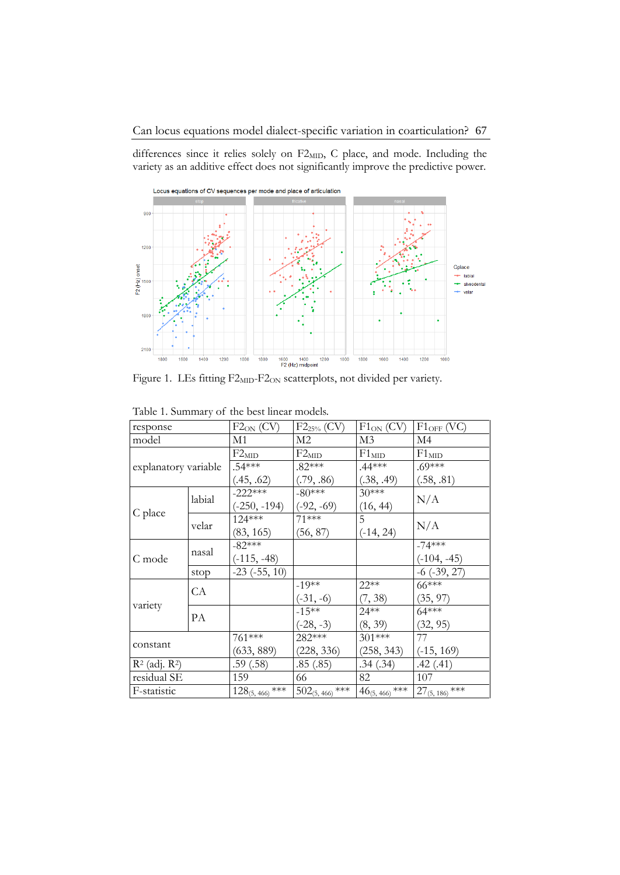differences since it relies solely on F2<sub>MID</sub>, C place, and mode. Including the variety as an additive effect does not significantly improve the predictive power.



Figure 1. LEs fitting F2<sub>MID</sub>-F2<sub>ON</sub> scatterplots, not divided per variety.

| response             |        | $F2_{ON}$ (CV)      | $F2_{25\%}$ (CV)    | $F1_{ON} (CV)$     | $F1_{OFF}$ (VC)        |
|----------------------|--------|---------------------|---------------------|--------------------|------------------------|
| model                |        | M1                  | M <sub>2</sub>      | M <sub>3</sub>     | $\overline{\text{M4}}$ |
| explanatory variable |        | $F2_{MD}$           | $F2_{MID}$          | F1 <sub>MD</sub>   | $F1_{MD}$              |
|                      |        | $.54***$            | $.82***$            | $.44***$           | $.69***$               |
|                      |        | (.45, .62)          | (.79, .86)          | (.38, .49)         | (.58, .81)             |
| C place              | labial | $-222***$           | $-80***$            | $30***$            | N/A                    |
|                      |        | $(-250, -194)$      | $(-92, -69)$        | (16, 44)           |                        |
|                      | velar  | $124***$            | 71 ***              | 5                  | N/A                    |
|                      |        | (83, 165)           | (56, 87)            | $(-14, 24)$        |                        |
| C mode               | nasal  | $-82***$            |                     |                    | $-74***$               |
|                      |        | $(-115, -48)$       |                     |                    | $(-104, -45)$          |
|                      | stop   | $-23$ $(-55, 10)$   |                     |                    | $-6$ $(-39, 27)$       |
| variety              | CA     |                     | $-19**$             | 22**               | $66***$                |
|                      |        |                     | $(-31, -6)$         | (7, 38)            | (35, 97)               |
|                      | PA     |                     | $-15**$             | $24**$             | $64***$                |
|                      |        |                     | $(-28, -3)$         | (8, 39)            | (32, 95)               |
| constant             |        | 761***              | 282***              | 301***             | 77                     |
|                      |        | (633, 889)          | (228, 336)          | (258, 343)         | $(-15, 169)$           |
| $R^2$ (adj. $R^2$ )  |        | .59(.58)            | .85(.85)            | .34(.34)           | .42(.41)               |
| residual SE          |        | 159                 | 66                  | 82                 | 107                    |
| F-statistic          |        | $128_{(5,466)}$ *** | $502_{(5,466)}$ *** | $46_{(5,466)}$ *** | $27_{(5, 186)}$ ***    |

Table 1. Summary of the best linear models.